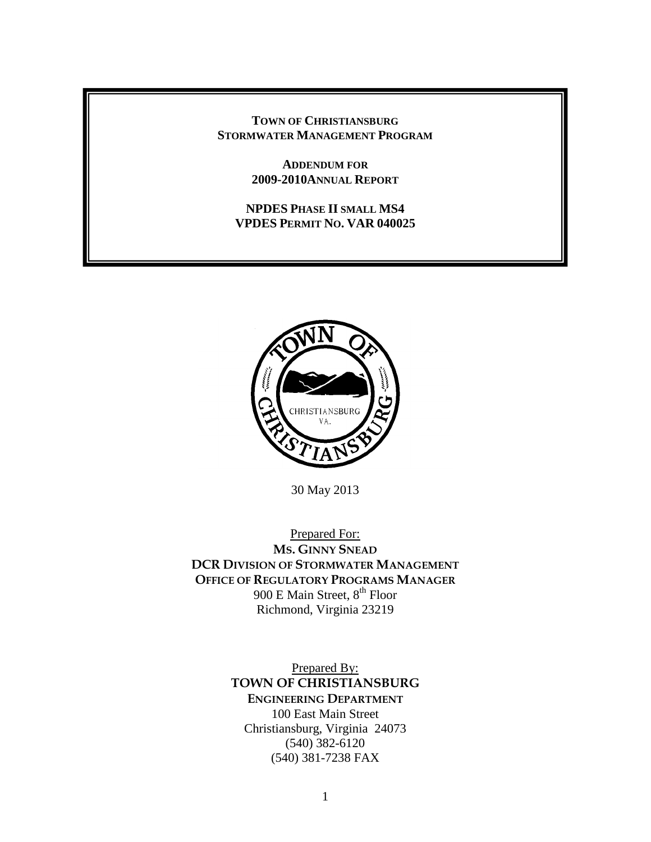#### **TOWN OF CHRISTIANSBURG STORMWATER MANAGEMENT PROGRAM**

**ADDENDUM FOR 2009-2010ANNUAL REPORT**

#### **NPDES PHASE II SMALL MS4 VPDES PERMIT NO. VAR 040025**



30 May 2013

Prepared For: **MS. GINNY SNEAD DCR DIVISION OF STORMWATER MANAGEMENT OFFICE OF REGULATORY PROGRAMS MANAGER** 900 E Main Street, 8<sup>th</sup> Floor Richmond, Virginia 23219

> Prepared By: **TOWN OF CHRISTIANSBURG ENGINEERING DEPARTMENT** 100 East Main Street Christiansburg, Virginia 24073 (540) 382-6120 (540) 381-7238 FAX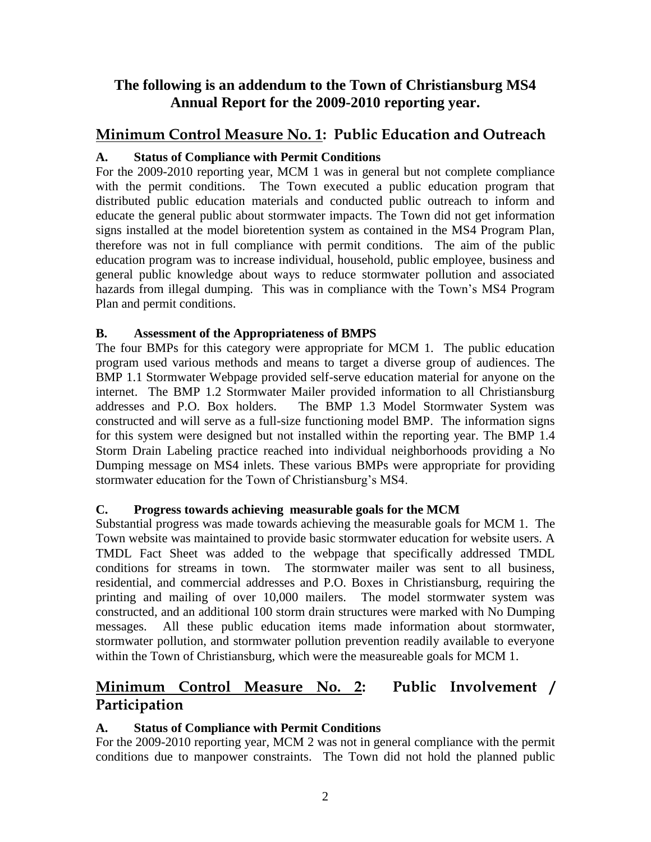## **The following is an addendum to the Town of Christiansburg MS4 Annual Report for the 2009-2010 reporting year.**

## **Minimum Control Measure No. 1: Public Education and Outreach**

### **A. Status of Compliance with Permit Conditions**

For the 2009-2010 reporting year, MCM 1 was in general but not complete compliance with the permit conditions. The Town executed a public education program that distributed public education materials and conducted public outreach to inform and educate the general public about stormwater impacts. The Town did not get information signs installed at the model bioretention system as contained in the MS4 Program Plan, therefore was not in full compliance with permit conditions. The aim of the public education program was to increase individual, household, public employee, business and general public knowledge about ways to reduce stormwater pollution and associated hazards from illegal dumping. This was in compliance with the Town's MS4 Program Plan and permit conditions.

### **B. Assessment of the Appropriateness of BMPS**

The four BMPs for this category were appropriate for MCM 1. The public education program used various methods and means to target a diverse group of audiences. The BMP 1.1 Stormwater Webpage provided self-serve education material for anyone on the internet. The BMP 1.2 Stormwater Mailer provided information to all Christiansburg addresses and P.O. Box holders. The BMP 1.3 Model Stormwater System was constructed and will serve as a full-size functioning model BMP. The information signs for this system were designed but not installed within the reporting year. The BMP 1.4 Storm Drain Labeling practice reached into individual neighborhoods providing a No Dumping message on MS4 inlets. These various BMPs were appropriate for providing stormwater education for the Town of Christiansburg's MS4.

### **C. Progress towards achieving measurable goals for the MCM**

Substantial progress was made towards achieving the measurable goals for MCM 1. The Town website was maintained to provide basic stormwater education for website users. A TMDL Fact Sheet was added to the webpage that specifically addressed TMDL conditions for streams in town. The stormwater mailer was sent to all business, residential, and commercial addresses and P.O. Boxes in Christiansburg, requiring the printing and mailing of over 10,000 mailers. The model stormwater system was constructed, and an additional 100 storm drain structures were marked with No Dumping messages. All these public education items made information about stormwater, stormwater pollution, and stormwater pollution prevention readily available to everyone within the Town of Christiansburg, which were the measureable goals for MCM 1.

# **Minimum Control Measure No. 2: Public Involvement / Participation**

## **A. Status of Compliance with Permit Conditions**

For the 2009-2010 reporting year, MCM 2 was not in general compliance with the permit conditions due to manpower constraints. The Town did not hold the planned public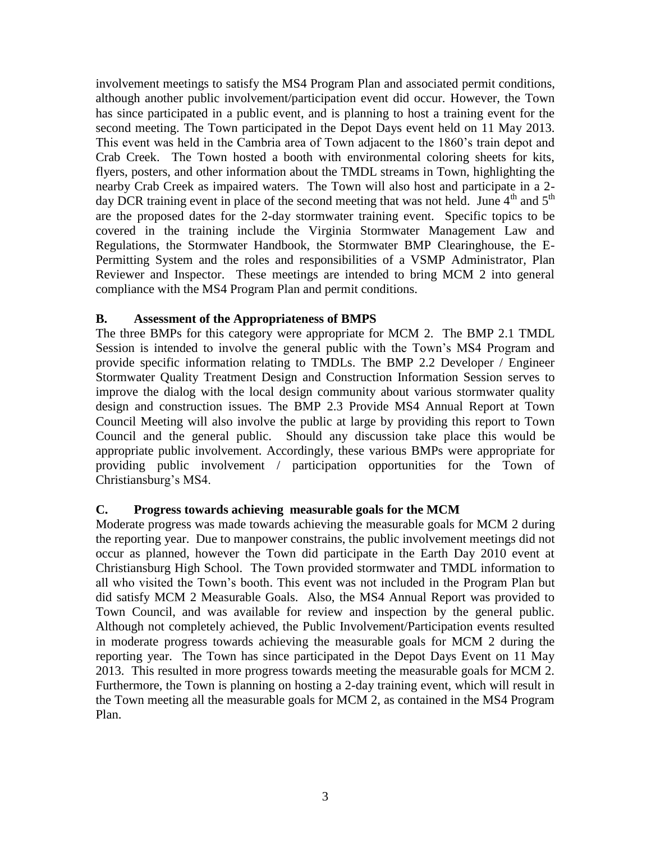involvement meetings to satisfy the MS4 Program Plan and associated permit conditions, although another public involvement/participation event did occur. However, the Town has since participated in a public event, and is planning to host a training event for the second meeting. The Town participated in the Depot Days event held on 11 May 2013. This event was held in the Cambria area of Town adjacent to the 1860's train depot and Crab Creek. The Town hosted a booth with environmental coloring sheets for kits, flyers, posters, and other information about the TMDL streams in Town, highlighting the nearby Crab Creek as impaired waters. The Town will also host and participate in a 2 day DCR training event in place of the second meeting that was not held. June  $4<sup>th</sup>$  and  $5<sup>th</sup>$ are the proposed dates for the 2-day stormwater training event. Specific topics to be covered in the training include the Virginia Stormwater Management Law and Regulations, the Stormwater Handbook, the Stormwater BMP Clearinghouse, the E-Permitting System and the roles and responsibilities of a VSMP Administrator, Plan Reviewer and Inspector. These meetings are intended to bring MCM 2 into general compliance with the MS4 Program Plan and permit conditions.

#### **B. Assessment of the Appropriateness of BMPS**

The three BMPs for this category were appropriate for MCM 2. The BMP 2.1 TMDL Session is intended to involve the general public with the Town's MS4 Program and provide specific information relating to TMDLs. The BMP 2.2 Developer / Engineer Stormwater Quality Treatment Design and Construction Information Session serves to improve the dialog with the local design community about various stormwater quality design and construction issues. The BMP 2.3 Provide MS4 Annual Report at Town Council Meeting will also involve the public at large by providing this report to Town Council and the general public. Should any discussion take place this would be appropriate public involvement. Accordingly, these various BMPs were appropriate for providing public involvement / participation opportunities for the Town of Christiansburg's MS4.

### **C. Progress towards achieving measurable goals for the MCM**

Moderate progress was made towards achieving the measurable goals for MCM 2 during the reporting year. Due to manpower constrains, the public involvement meetings did not occur as planned, however the Town did participate in the Earth Day 2010 event at Christiansburg High School. The Town provided stormwater and TMDL information to all who visited the Town's booth. This event was not included in the Program Plan but did satisfy MCM 2 Measurable Goals. Also, the MS4 Annual Report was provided to Town Council, and was available for review and inspection by the general public. Although not completely achieved, the Public Involvement/Participation events resulted in moderate progress towards achieving the measurable goals for MCM 2 during the reporting year. The Town has since participated in the Depot Days Event on 11 May 2013. This resulted in more progress towards meeting the measurable goals for MCM 2. Furthermore, the Town is planning on hosting a 2-day training event, which will result in the Town meeting all the measurable goals for MCM 2, as contained in the MS4 Program Plan.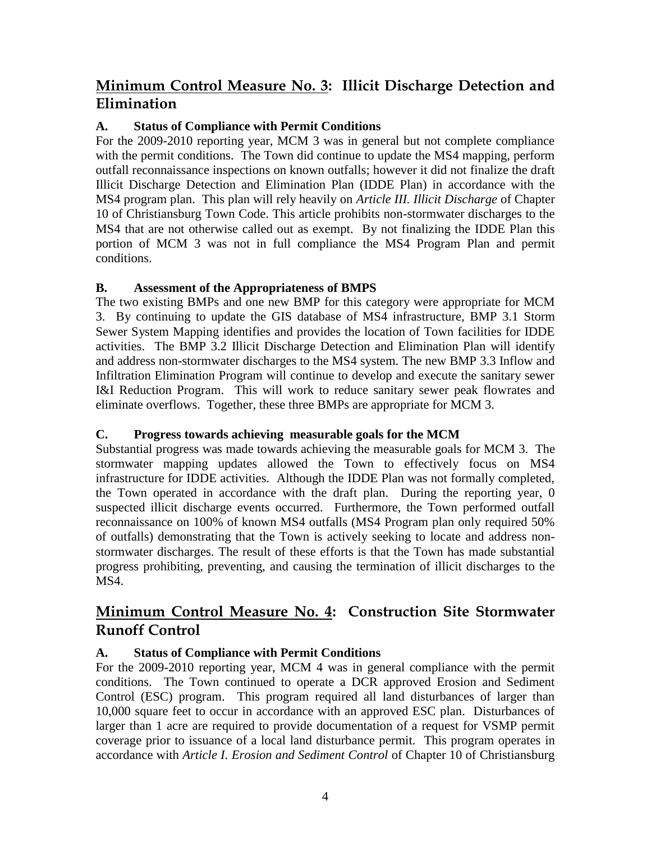# **Minimum Control Measure No. 3: Illicit Discharge Detection and Elimination**

## **A. Status of Compliance with Permit Conditions**

For the 2009-2010 reporting year, MCM 3 was in general but not complete compliance with the permit conditions. The Town did continue to update the MS4 mapping, perform outfall reconnaissance inspections on known outfalls; however it did not finalize the draft Illicit Discharge Detection and Elimination Plan (IDDE Plan) in accordance with the MS4 program plan. This plan will rely heavily on *Article III. Illicit Discharge* of Chapter 10 of Christiansburg Town Code. This article prohibits non-stormwater discharges to the MS4 that are not otherwise called out as exempt. By not finalizing the IDDE Plan this portion of MCM 3 was not in full compliance the MS4 Program Plan and permit conditions.

### **B. Assessment of the Appropriateness of BMPS**

The two existing BMPs and one new BMP for this category were appropriate for MCM 3. By continuing to update the GIS database of MS4 infrastructure, BMP 3.1 Storm Sewer System Mapping identifies and provides the location of Town facilities for IDDE activities. The BMP 3.2 Illicit Discharge Detection and Elimination Plan will identify and address non-stormwater discharges to the MS4 system. The new BMP 3.3 Inflow and Infiltration Elimination Program will continue to develop and execute the sanitary sewer I&I Reduction Program. This will work to reduce sanitary sewer peak flowrates and eliminate overflows. Together, these three BMPs are appropriate for MCM 3.

### **C. Progress towards achieving measurable goals for the MCM**

Substantial progress was made towards achieving the measurable goals for MCM 3. The stormwater mapping updates allowed the Town to effectively focus on MS4 infrastructure for IDDE activities. Although the IDDE Plan was not formally completed, the Town operated in accordance with the draft plan. During the reporting year, 0 suspected illicit discharge events occurred. Furthermore, the Town performed outfall reconnaissance on 100% of known MS4 outfalls (MS4 Program plan only required 50% of outfalls) demonstrating that the Town is actively seeking to locate and address nonstormwater discharges. The result of these efforts is that the Town has made substantial progress prohibiting, preventing, and causing the termination of illicit discharges to the MS4.

# **Minimum Control Measure No. 4: Construction Site Stormwater Runoff Control**

## **A. Status of Compliance with Permit Conditions**

For the 2009-2010 reporting year, MCM 4 was in general compliance with the permit conditions. The Town continued to operate a DCR approved Erosion and Sediment Control (ESC) program. This program required all land disturbances of larger than 10,000 square feet to occur in accordance with an approved ESC plan. Disturbances of larger than 1 acre are required to provide documentation of a request for VSMP permit coverage prior to issuance of a local land disturbance permit. This program operates in accordance with *Article I. Erosion and Sediment Control* of Chapter 10 of Christiansburg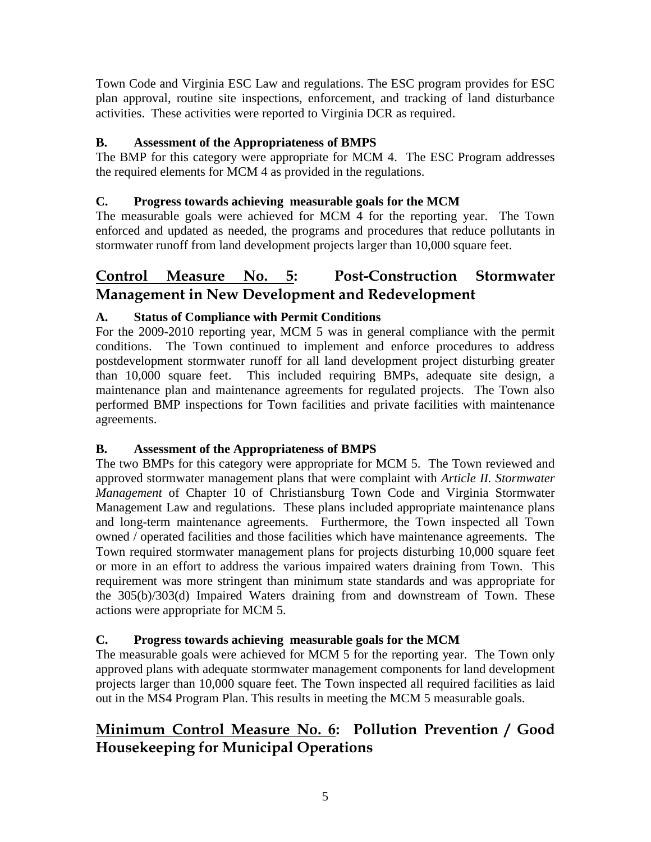Town Code and Virginia ESC Law and regulations. The ESC program provides for ESC plan approval, routine site inspections, enforcement, and tracking of land disturbance activities. These activities were reported to Virginia DCR as required.

## **B. Assessment of the Appropriateness of BMPS**

The BMP for this category were appropriate for MCM 4. The ESC Program addresses the required elements for MCM 4 as provided in the regulations.

## **C. Progress towards achieving measurable goals for the MCM**

The measurable goals were achieved for MCM 4 for the reporting year. The Town enforced and updated as needed, the programs and procedures that reduce pollutants in stormwater runoff from land development projects larger than 10,000 square feet.

# **Control Measure No. 5: Post-Construction Stormwater Management in New Development and Redevelopment**

## **A. Status of Compliance with Permit Conditions**

For the 2009-2010 reporting year, MCM 5 was in general compliance with the permit conditions. The Town continued to implement and enforce procedures to address postdevelopment stormwater runoff for all land development project disturbing greater than 10,000 square feet. This included requiring BMPs, adequate site design, a maintenance plan and maintenance agreements for regulated projects. The Town also performed BMP inspections for Town facilities and private facilities with maintenance agreements.

## **B. Assessment of the Appropriateness of BMPS**

The two BMPs for this category were appropriate for MCM 5. The Town reviewed and approved stormwater management plans that were complaint with *Article II. Stormwater Management* of Chapter 10 of Christiansburg Town Code and Virginia Stormwater Management Law and regulations. These plans included appropriate maintenance plans and long-term maintenance agreements. Furthermore, the Town inspected all Town owned / operated facilities and those facilities which have maintenance agreements. The Town required stormwater management plans for projects disturbing 10,000 square feet or more in an effort to address the various impaired waters draining from Town. This requirement was more stringent than minimum state standards and was appropriate for the 305(b)/303(d) Impaired Waters draining from and downstream of Town. These actions were appropriate for MCM 5.

## **C. Progress towards achieving measurable goals for the MCM**

The measurable goals were achieved for MCM 5 for the reporting year. The Town only approved plans with adequate stormwater management components for land development projects larger than 10,000 square feet. The Town inspected all required facilities as laid out in the MS4 Program Plan. This results in meeting the MCM 5 measurable goals.

# **Minimum Control Measure No. 6: Pollution Prevention / Good Housekeeping for Municipal Operations**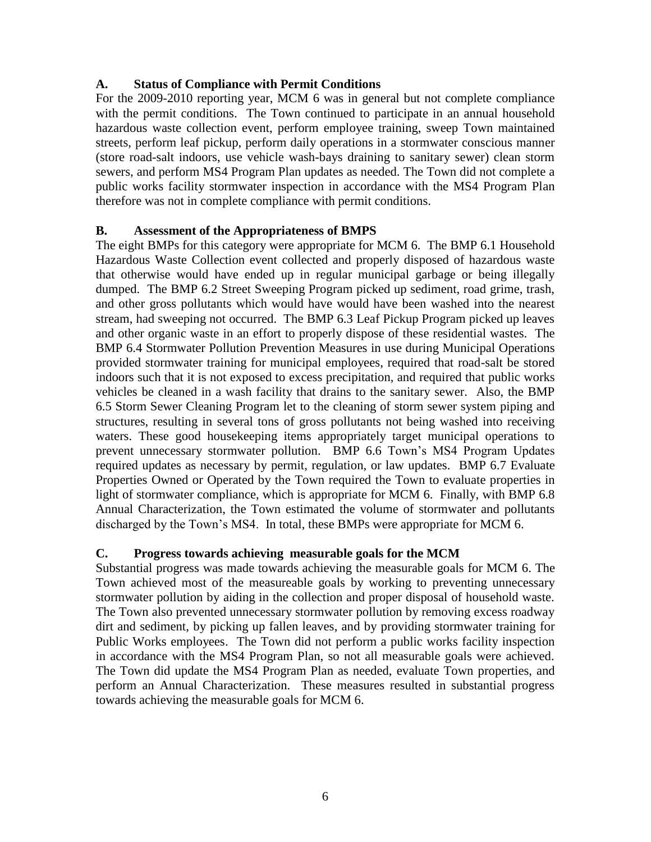#### **A. Status of Compliance with Permit Conditions**

For the 2009-2010 reporting year, MCM 6 was in general but not complete compliance with the permit conditions. The Town continued to participate in an annual household hazardous waste collection event, perform employee training, sweep Town maintained streets, perform leaf pickup, perform daily operations in a stormwater conscious manner (store road-salt indoors, use vehicle wash-bays draining to sanitary sewer) clean storm sewers, and perform MS4 Program Plan updates as needed. The Town did not complete a public works facility stormwater inspection in accordance with the MS4 Program Plan therefore was not in complete compliance with permit conditions.

#### **B. Assessment of the Appropriateness of BMPS**

The eight BMPs for this category were appropriate for MCM 6. The BMP 6.1 Household Hazardous Waste Collection event collected and properly disposed of hazardous waste that otherwise would have ended up in regular municipal garbage or being illegally dumped. The BMP 6.2 Street Sweeping Program picked up sediment, road grime, trash, and other gross pollutants which would have would have been washed into the nearest stream, had sweeping not occurred. The BMP 6.3 Leaf Pickup Program picked up leaves and other organic waste in an effort to properly dispose of these residential wastes. The BMP 6.4 Stormwater Pollution Prevention Measures in use during Municipal Operations provided stormwater training for municipal employees, required that road-salt be stored indoors such that it is not exposed to excess precipitation, and required that public works vehicles be cleaned in a wash facility that drains to the sanitary sewer. Also, the BMP 6.5 Storm Sewer Cleaning Program let to the cleaning of storm sewer system piping and structures, resulting in several tons of gross pollutants not being washed into receiving waters. These good housekeeping items appropriately target municipal operations to prevent unnecessary stormwater pollution. BMP 6.6 Town's MS4 Program Updates required updates as necessary by permit, regulation, or law updates. BMP 6.7 Evaluate Properties Owned or Operated by the Town required the Town to evaluate properties in light of stormwater compliance, which is appropriate for MCM 6. Finally, with BMP 6.8 Annual Characterization, the Town estimated the volume of stormwater and pollutants discharged by the Town's MS4. In total, these BMPs were appropriate for MCM 6.

#### **C. Progress towards achieving measurable goals for the MCM**

Substantial progress was made towards achieving the measurable goals for MCM 6. The Town achieved most of the measureable goals by working to preventing unnecessary stormwater pollution by aiding in the collection and proper disposal of household waste. The Town also prevented unnecessary stormwater pollution by removing excess roadway dirt and sediment, by picking up fallen leaves, and by providing stormwater training for Public Works employees. The Town did not perform a public works facility inspection in accordance with the MS4 Program Plan, so not all measurable goals were achieved. The Town did update the MS4 Program Plan as needed, evaluate Town properties, and perform an Annual Characterization. These measures resulted in substantial progress towards achieving the measurable goals for MCM 6.